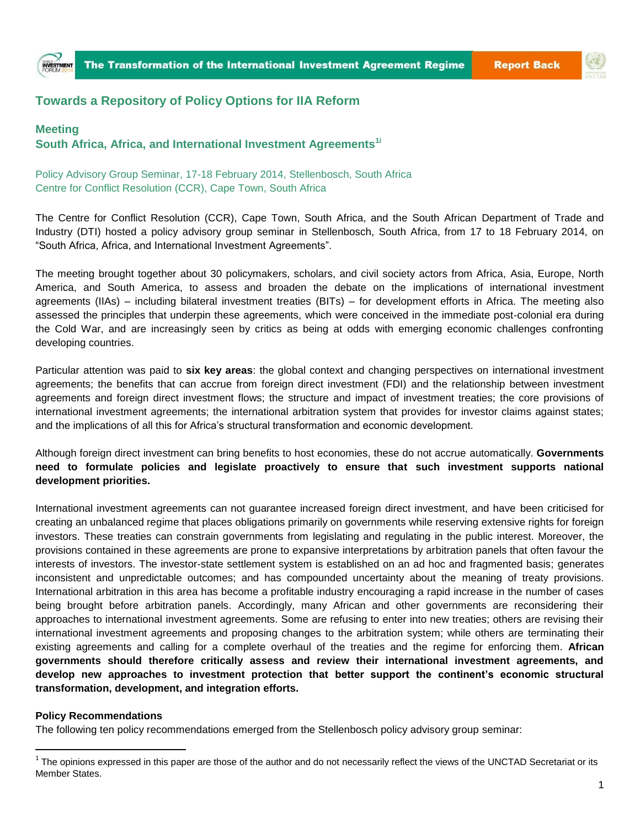



## **Towards a Repository of Policy Options for IIA Reform**

## **Meeting**

## **South Africa, Africa, and International Investment Agreements1i**

Policy Advisory Group Seminar, 17-18 February 2014, Stellenbosch, South Africa Centre for Conflict Resolution (CCR), Cape Town, South Africa

The Centre for Conflict Resolution (CCR), Cape Town, South Africa, and the South African Department of Trade and Industry (DTI) hosted a policy advisory group seminar in Stellenbosch, South Africa, from 17 to 18 February 2014, on "South Africa, Africa, and International Investment Agreements".

The meeting brought together about 30 policymakers, scholars, and civil society actors from Africa, Asia, Europe, North America, and South America, to assess and broaden the debate on the implications of international investment agreements (IIAs) – including bilateral investment treaties (BITs) – for development efforts in Africa. The meeting also assessed the principles that underpin these agreements, which were conceived in the immediate post-colonial era during the Cold War, and are increasingly seen by critics as being at odds with emerging economic challenges confronting developing countries.

Particular attention was paid to **six key areas**: the global context and changing perspectives on international investment agreements; the benefits that can accrue from foreign direct investment (FDI) and the relationship between investment agreements and foreign direct investment flows; the structure and impact of investment treaties; the core provisions of international investment agreements; the international arbitration system that provides for investor claims against states; and the implications of all this for Africa's structural transformation and economic development.

Although foreign direct investment can bring benefits to host economies, these do not accrue automatically. **Governments need to formulate policies and legislate proactively to ensure that such investment supports national development priorities.**

International investment agreements can not guarantee increased foreign direct investment, and have been criticised for creating an unbalanced regime that places obligations primarily on governments while reserving extensive rights for foreign investors. These treaties can constrain governments from legislating and regulating in the public interest. Moreover, the provisions contained in these agreements are prone to expansive interpretations by arbitration panels that often favour the interests of investors. The investor-state settlement system is established on an ad hoc and fragmented basis; generates inconsistent and unpredictable outcomes; and has compounded uncertainty about the meaning of treaty provisions. International arbitration in this area has become a profitable industry encouraging a rapid increase in the number of cases being brought before arbitration panels. Accordingly, many African and other governments are reconsidering their approaches to international investment agreements. Some are refusing to enter into new treaties; others are revising their international investment agreements and proposing changes to the arbitration system; while others are terminating their existing agreements and calling for a complete overhaul of the treaties and the regime for enforcing them. **African governments should therefore critically assess and review their international investment agreements, and develop new approaches to investment protection that better support the continent's economic structural transformation, development, and integration efforts.**

## **Policy Recommendations**

 $\ddot{\phantom{a}}$ 

The following ten policy recommendations emerged from the Stellenbosch policy advisory group seminar:

 $1$  The opinions expressed in this paper are those of the author and do not necessarily reflect the views of the UNCTAD Secretariat or its Member States.